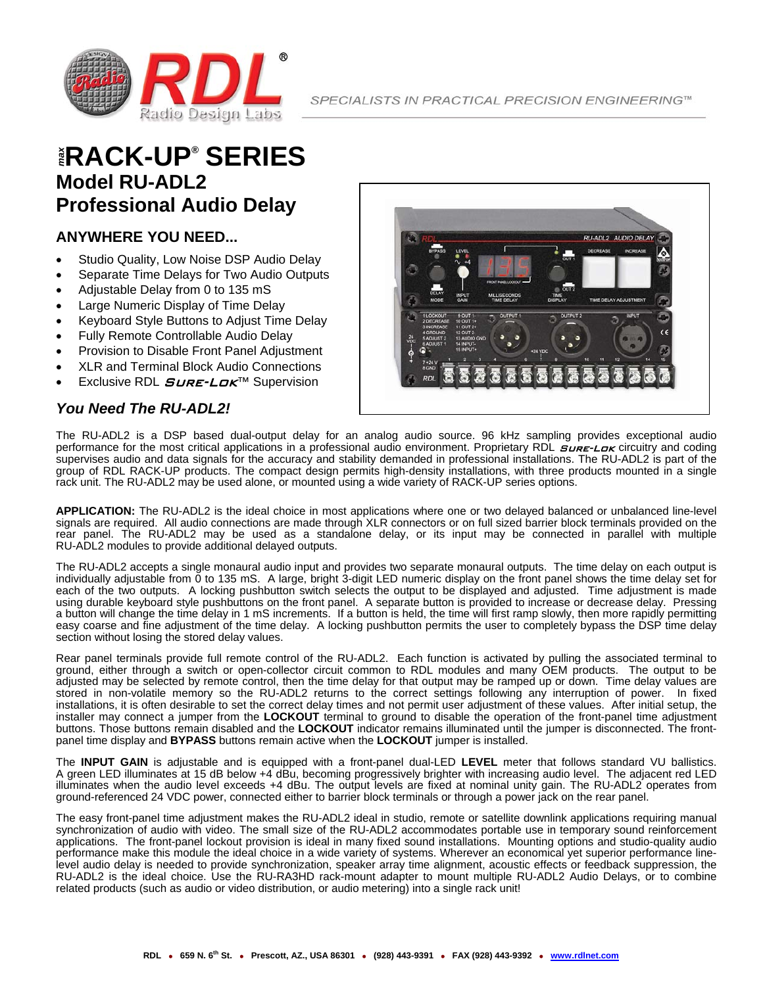

### $^{\circ}$ **RACK-UP®** SERIES **Model RU-ADL2 Professional Audio Delay**

#### **ANYWHERE YOU NEED...**

- Studio Quality, Low Noise DSP Audio Delay
- Separate Time Delays for Two Audio Outputs
- Adjustable Delay from 0 to 135 mS
- Large Numeric Display of Time Delay
- Keyboard Style Buttons to Adjust Time Delay
- Fully Remote Controllable Audio Delay
- Provision to Disable Front Panel Adjustment
- XLR and Terminal Block Audio Connections
- Exclusive RDL *SURE-LOK*™ Supervision

### *You Need The RU-ADL2!*



The RU-ADL2 is a DSP based dual-output delay for an analog audio source. 96 kHz sampling provides exceptional audio performance for the most critical applications in a professional audio environment. Proprietary RDL  $S$ ure-Lax circuitry and coding supervises audio and data signals for the accuracy and stability demanded in professional installations. The RU-ADL2 is part of the group of RDL RACK-UP products. The compact design permits high-density installations, with three products mounted in a single rack unit. The RU-ADL2 may be used alone, or mounted using a wide variety of RACK-UP series options.

**APPLICATION:** The RU-ADL2 is the ideal choice in most applications where one or two delayed balanced or unbalanced line-level signals are required. All audio connections are made through XLR connectors or on full sized barrier block terminals provided on the rear panel. The RU-ADL2 may be used as a standalone delay, or its input may be connected in parallel with multiple RU-ADL2 modules to provide additional delayed outputs.

The RU-ADL2 accepts a single monaural audio input and provides two separate monaural outputs. The time delay on each output is individually adjustable from 0 to 135 mS. A large, bright 3-digit LED numeric display on the front panel shows the time delay set for each of the two outputs. A locking pushbutton switch selects the output to be displayed and adjusted. Time adjustment is made using durable keyboard style pushbuttons on the front panel. A separate button is provided to increase or decrease delay. Pressing a button will change the time delay in 1 mS increments. If a button is held, the time will first ramp slowly, then more rapidly permitting easy coarse and fine adjustment of the time delay. A locking pushbutton permits the user to completely bypass the DSP time delay section without losing the stored delay values.

Rear panel terminals provide full remote control of the RU-ADL2. Each function is activated by pulling the associated terminal to ground, either through a switch or open-collector circuit common to RDL modules and many OEM products. The output to be adjusted may be selected by remote control, then the time delay for that output may be ramped up or down. Time delay values are stored in non-volatile memory so the RU-ADL2 returns to the correct settings following any interruption of power. In fixed installations, it is often desirable to set the correct delay times and not permit user adjustment of these values. After initial setup, the installer may connect a jumper from the **LOCKOUT** terminal to ground to disable the operation of the front-panel time adjustment buttons. Those buttons remain disabled and the **LOCKOUT** indicator remains illuminated until the jumper is disconnected. The frontpanel time display and **BYPASS** buttons remain active when the **LOCKOUT** jumper is installed.

The **INPUT GAIN** is adjustable and is equipped with a front-panel dual-LED **LEVEL** meter that follows standard VU ballistics. A green LED illuminates at 15 dB below +4 dBu, becoming progressively brighter with increasing audio level. The adjacent red LED illuminates when the audio level exceeds +4 dBu. The output levels are fixed at nominal unity gain. The RU-ADL2 operates from ground-referenced 24 VDC power, connected either to barrier block terminals or through a power jack on the rear panel.

The easy front-panel time adjustment makes the RU-ADL2 ideal in studio, remote or satellite downlink applications requiring manual synchronization of audio with video. The small size of the RU-ADL2 accommodates portable use in temporary sound reinforcement applications. The front-panel lockout provision is ideal in many fixed sound installations. Mounting options and studio-quality audio performance make this module the ideal choice in a wide variety of systems. Wherever an economical yet superior performance linelevel audio delay is needed to provide synchronization, speaker array time alignment, acoustic effects or feedback suppression, the RU-ADL2 is the ideal choice. Use the RU-RA3HD rack-mount adapter to mount multiple RU-ADL2 Audio Delays, or to combine related products (such as audio or video distribution, or audio metering) into a single rack unit!